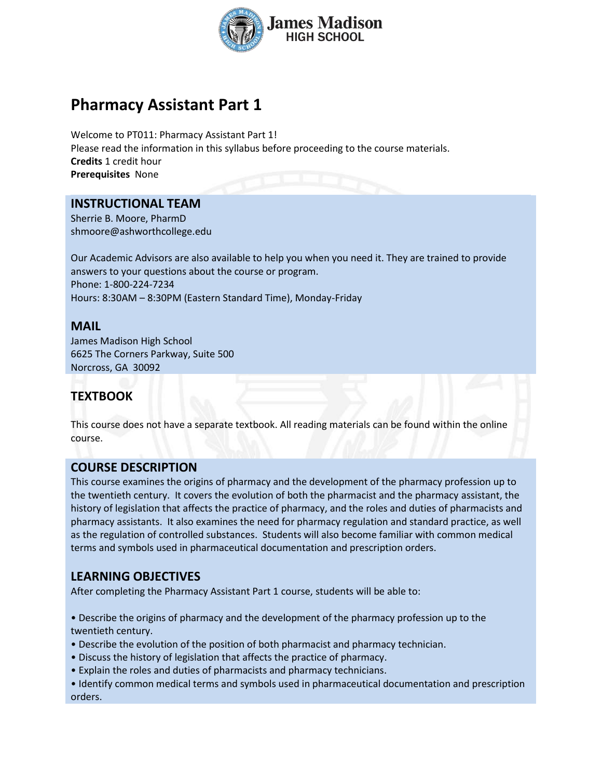

# **Pharmacy Assistant Part 1**

Welcome to PT011: Pharmacy Assistant Part 1! Please read the information in this syllabus before proceeding to the course materials. **Credits** 1 credit hour **Prerequisites** None

## **INSTRUCTIONAL TEAM**

Sherrie B. Moore, PharmD shmoore@ashworthcollege.edu

Our Academic Advisors are also available to help you when you need it. They are trained to provide answers to your questions about the course or program. Phone: 1-800-224-7234 Hours: 8:30AM – 8:30PM (Eastern Standard Time), Monday-Friday

### **MAIL**

James Madison High School 6625 The Corners Parkway, Suite 500 Norcross, GA 30092

## **TEXTBOOK**

This course does not have a separate textbook. All reading materials can be found within the online course.

## **COURSE DESCRIPTION**

This course examines the origins of pharmacy and the development of the pharmacy profession up to the twentieth century. It covers the evolution of both the pharmacist and the pharmacy assistant, the history of legislation that affects the practice of pharmacy, and the roles and duties of pharmacists and pharmacy assistants. It also examines the need for pharmacy regulation and standard practice, as well as the regulation of controlled substances. Students will also become familiar with common medical terms and symbols used in pharmaceutical documentation and prescription orders.

## **LEARNING OBJECTIVES**

After completing the Pharmacy Assistant Part 1 course, students will be able to:

• Describe the origins of pharmacy and the development of the pharmacy profession up to the twentieth century.

- Describe the evolution of the position of both pharmacist and pharmacy technician.
- Discuss the history of legislation that affects the practice of pharmacy.
- Explain the roles and duties of pharmacists and pharmacy technicians.
- Identify common medical terms and symbols used in pharmaceutical documentation and prescription orders.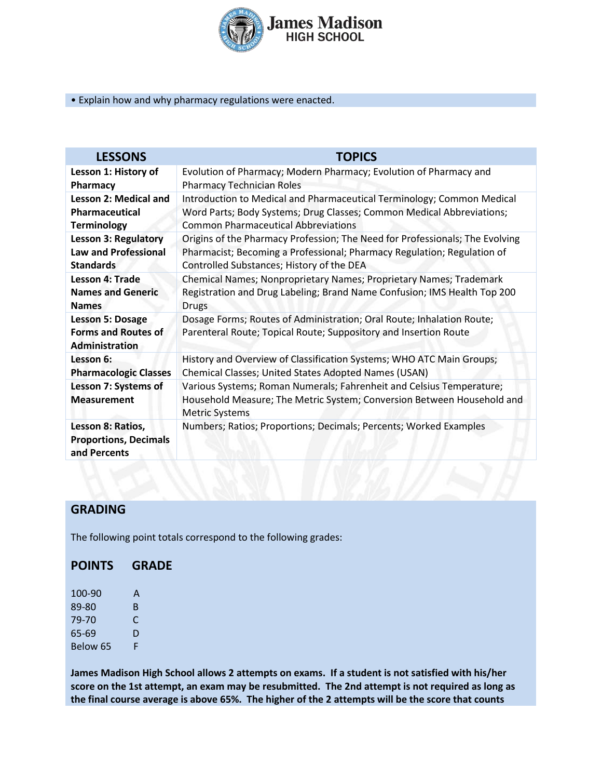

#### • Explain how and why pharmacy regulations were enacted.

| <b>LESSONS</b>                                                                 | <b>TOPICS</b>                                                                                                                                                           |  |
|--------------------------------------------------------------------------------|-------------------------------------------------------------------------------------------------------------------------------------------------------------------------|--|
| Lesson 1: History of                                                           | Evolution of Pharmacy; Modern Pharmacy; Evolution of Pharmacy and                                                                                                       |  |
| Pharmacy                                                                       | <b>Pharmacy Technician Roles</b>                                                                                                                                        |  |
| Lesson 2: Medical and                                                          | Introduction to Medical and Pharmaceutical Terminology; Common Medical                                                                                                  |  |
| Pharmaceutical                                                                 | Word Parts; Body Systems; Drug Classes; Common Medical Abbreviations;                                                                                                   |  |
| <b>Terminology</b>                                                             | <b>Common Pharmaceutical Abbreviations</b>                                                                                                                              |  |
| <b>Lesson 3: Regulatory</b>                                                    | Origins of the Pharmacy Profession; The Need for Professionals; The Evolving                                                                                            |  |
| <b>Law and Professional</b>                                                    | Pharmacist; Becoming a Professional; Pharmacy Regulation; Regulation of                                                                                                 |  |
| <b>Standards</b>                                                               | Controlled Substances; History of the DEA                                                                                                                               |  |
| Lesson 4: Trade                                                                | Chemical Names; Nonproprietary Names; Proprietary Names; Trademark                                                                                                      |  |
| <b>Names and Generic</b>                                                       | Registration and Drug Labeling; Brand Name Confusion; IMS Health Top 200                                                                                                |  |
| <b>Names</b>                                                                   | <b>Drugs</b>                                                                                                                                                            |  |
| <b>Lesson 5: Dosage</b><br><b>Forms and Routes of</b><br><b>Administration</b> | Dosage Forms; Routes of Administration; Oral Route; Inhalation Route;<br>Parenteral Route; Topical Route; Suppository and Insertion Route                               |  |
| Lesson 6:                                                                      | History and Overview of Classification Systems; WHO ATC Main Groups;                                                                                                    |  |
| <b>Pharmacologic Classes</b>                                                   | Chemical Classes; United States Adopted Names (USAN)                                                                                                                    |  |
| Lesson 7: Systems of<br><b>Measurement</b>                                     | Various Systems; Roman Numerals; Fahrenheit and Celsius Temperature;<br>Household Measure; The Metric System; Conversion Between Household and<br><b>Metric Systems</b> |  |
| Lesson 8: Ratios,<br><b>Proportions, Decimals</b><br>and Percents              | Numbers; Ratios; Proportions; Decimals; Percents; Worked Examples                                                                                                       |  |

## **GRADING**

The following point totals correspond to the following grades:

## **POINTS GRADE**

100-90 A 89-80 B 79-70 C<br>65-69 D 65-69 Below 65 F

**James Madison High School allows 2 attempts on exams. If a student is not satisfied with his/her score on the 1st attempt, an exam may be resubmitted. The 2nd attempt is not required as long as the final course average is above 65%. The higher of the 2 attempts will be the score that counts**